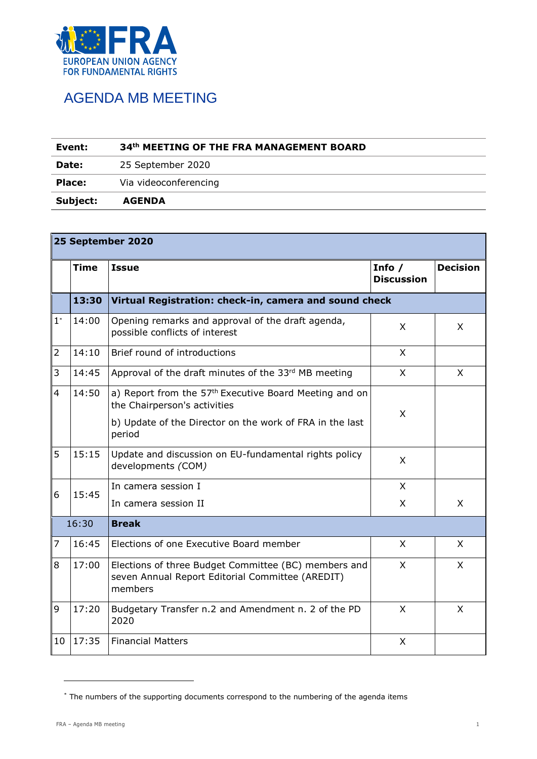

## AGENDA MB MEETING

| Event:        | 34th MEETING OF THE FRA MANAGEMENT BOARD |  |  |
|---------------|------------------------------------------|--|--|
| Date:         | 25 September 2020                        |  |  |
| <b>Place:</b> | Via videoconferencing                    |  |  |
| Subject:      | <b>AGENDA</b>                            |  |  |

| 25 September 2020        |             |                                                                                                                     |                               |                 |  |  |  |
|--------------------------|-------------|---------------------------------------------------------------------------------------------------------------------|-------------------------------|-----------------|--|--|--|
|                          | <b>Time</b> | <b>Issue</b>                                                                                                        | Info $/$<br><b>Discussion</b> | <b>Decision</b> |  |  |  |
|                          | 13:30       | Virtual Registration: check-in, camera and sound check                                                              |                               |                 |  |  |  |
| $1^*$                    | 14:00       | Opening remarks and approval of the draft agenda,<br>possible conflicts of interest                                 | X                             | X               |  |  |  |
| $\overline{2}$           | 14:10       | Brief round of introductions                                                                                        | $\mathsf{X}$                  |                 |  |  |  |
| 3                        | 14:45       | Approval of the draft minutes of the 33rd MB meeting                                                                | X                             | X               |  |  |  |
| $\overline{\mathcal{L}}$ | 14:50       | a) Report from the 57 <sup>th</sup> Executive Board Meeting and on<br>the Chairperson's activities                  | X                             |                 |  |  |  |
|                          |             | b) Update of the Director on the work of FRA in the last<br>period                                                  |                               |                 |  |  |  |
| 5                        | 15:15       | Update and discussion on EU-fundamental rights policy<br>developments (COM)                                         | X                             |                 |  |  |  |
| 6                        | 15:45       | In camera session I                                                                                                 | X                             |                 |  |  |  |
|                          |             | In camera session II                                                                                                | X                             | X               |  |  |  |
| 16:30                    |             | <b>Break</b>                                                                                                        |                               |                 |  |  |  |
| $\overline{7}$           | 16:45       | Elections of one Executive Board member                                                                             | X                             | X               |  |  |  |
| 8                        | 17:00       | Elections of three Budget Committee (BC) members and<br>seven Annual Report Editorial Committee (AREDIT)<br>members | X                             | X               |  |  |  |
| 9                        | 17:20       | Budgetary Transfer n.2 and Amendment n. 2 of the PD<br>2020                                                         | X                             | X               |  |  |  |
| 10                       | 17:35       | <b>Financial Matters</b>                                                                                            | X                             |                 |  |  |  |

<sup>\*</sup> The numbers of the supporting documents correspond to the numbering of the agenda items

-